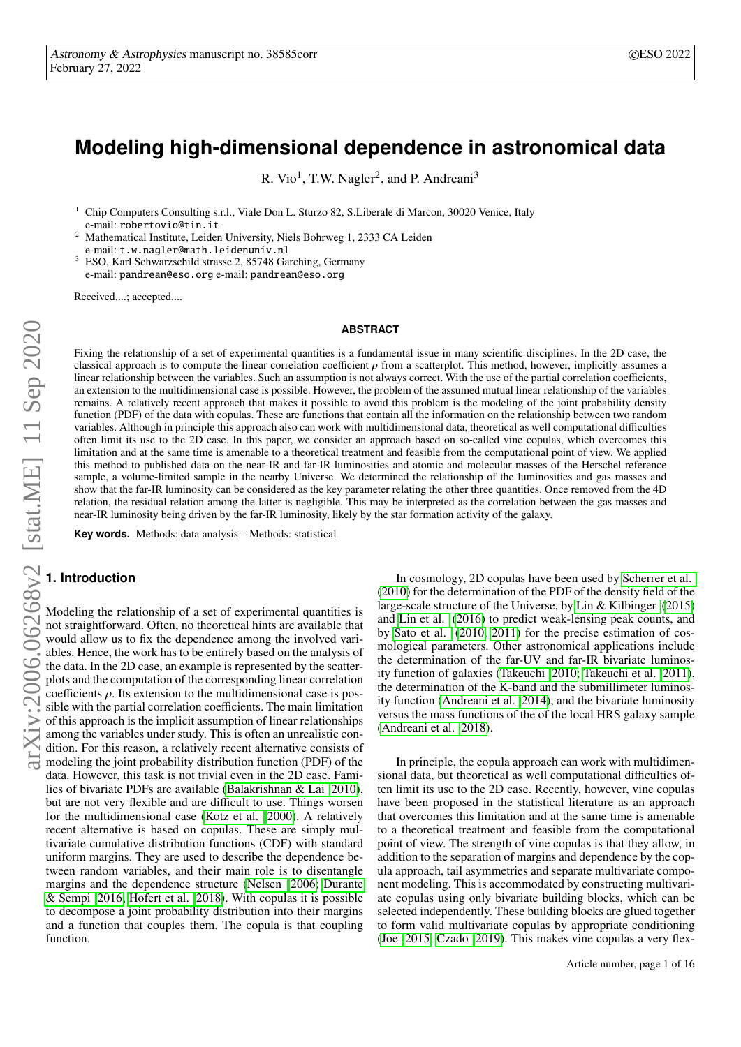# **Modeling high-dimensional dependence in astronomical data**

R. Vio<sup>1</sup>, T.W. Nagler<sup>2</sup>, and P. Andreani<sup>3</sup>

<sup>1</sup> Chip Computers Consulting s.r.l., Viale Don L. Sturzo 82, S.Liberale di Marcon, 30020 Venice, Italy e-mail: robertovio@tin.it

<sup>2</sup> Mathematical Institute, Leiden University, Niels Bohrweg 1, 2333 CA Leiden e-mail: t.w.nagler@math.leidenuniv.nl

<sup>3</sup> ESO, Karl Schwarzschild strasse 2, 85748 Garching, Germany e-mail: pandrean@eso.org e-mail: pandrean@eso.org

Received....; accepted....

#### **ABSTRACT**

Fixing the relationship of a set of experimental quantities is a fundamental issue in many scientific disciplines. In the 2D case, the classical approach is to compute the linear correlation coefficient  $\rho$  from a scatterplot. This method, however, implicitly assumes a linear relationship between the variables. Such an assumption is not always correct. With the use of the partial correlation coefficients, an extension to the multidimensional case is possible. However, the problem of the assumed mutual linear relationship of the variables remains. A relatively recent approach that makes it possible to avoid this problem is the modeling of the joint probability density function (PDF) of the data with copulas. These are functions that contain all the information on the relationship between two random variables. Although in principle this approach also can work with multidimensional data, theoretical as well computational difficulties often limit its use to the 2D case. In this paper, we consider an approach based on so-called vine copulas, which overcomes this limitation and at the same time is amenable to a theoretical treatment and feasible from the computational point of view. We applied this method to published data on the near-IR and far-IR luminosities and atomic and molecular masses of the Herschel reference sample, a volume-limited sample in the nearby Universe. We determined the relationship of the luminosities and gas masses and show that the far-IR luminosity can be considered as the key parameter relating the other three quantities. Once removed from the 4D relation, the residual relation among the latter is negligible. This may be interpreted as the correlation between the gas masses and near-IR luminosity being driven by the far-IR luminosity, likely by the star formation activity of the galaxy.

**Key words.** Methods: data analysis – Methods: statistical

# **1. Introduction**

Modeling the relationship of a set of experimental quantities is not straightforward. Often, no theoretical hints are available that would allow us to fix the dependence among the involved variables. Hence, the work has to be entirely based on the analysis of the data. In the 2D case, an example is represented by the scatterplots and the computation of the corresponding linear correlation coefficients  $\rho$ . Its extension to the multidimensional case is possible with the partial correlation coefficients. The main limitation of this approach is the implicit assumption of linear relationships among the variables under study. This is often an unrealistic condition. For this reason, a relatively recent alternative consists of modeling the joint probability distribution function (PDF) of the data. However, this task is not trivial even in the 2D case. Families of bivariate PDFs are available [\(Balakrishnan & Lai 2010\)](#page-4-0), but are not very flexible and are difficult to use. Things worsen for the multidimensional case [\(Kotz et al. 2000\)](#page-5-0). A relatively recent alternative is based on copulas. These are simply multivariate cumulative distribution functions (CDF) with standard uniform margins. They are used to describe the dependence between random variables, and their main role is to disentangle margins and the dependence structure [\(Nelsen 2006;](#page-5-1) [Durante](#page-5-2) [& Sempi 2016;](#page-5-2) [Hofert et al. 2018\)](#page-5-3). With copulas it is possible to decompose a joint probability distribution into their margins and a function that couples them. The copula is that coupling function.

In cosmology, 2D copulas have been used by [Scherrer et al.](#page-5-4) [\(2010\)](#page-5-4) for the determination of the PDF of the density field of the large-scale structure of the Universe, by [Lin & Kilbinger](#page-5-5) [\(2015\)](#page-5-5) and [Lin et al.](#page-5-6) [\(2016\)](#page-5-6) to predict weak-lensing peak counts, and by [Sato et al.](#page-5-7) [\(2010,](#page-5-7) [2011\)](#page-5-8) for the precise estimation of cosmological parameters. Other astronomical applications include the determination of the far-UV and far-IR bivariate luminosity function of galaxies [\(Takeuchi 2010;](#page-5-9) [Takeuchi et al. 2011\)](#page-5-10), the determination of the K-band and the submillimeter luminosity function [\(Andreani et al. 2014\)](#page-4-1), and the bivariate luminosity versus the mass functions of the of the local HRS galaxy sample [\(Andreani et al. 2018\)](#page-4-2).

In principle, the copula approach can work with multidimensional data, but theoretical as well computational difficulties often limit its use to the 2D case. Recently, however, vine copulas have been proposed in the statistical literature as an approach that overcomes this limitation and at the same time is amenable to a theoretical treatment and feasible from the computational point of view. The strength of vine copulas is that they allow, in addition to the separation of margins and dependence by the copula approach, tail asymmetries and separate multivariate component modeling. This is accommodated by constructing multivariate copulas using only bivariate building blocks, which can be selected independently. These building blocks are glued together to form valid multivariate copulas by appropriate conditioning [\(Joe 2015;](#page-5-11) [Czado 2019\)](#page-5-12). This makes vine copulas a very flex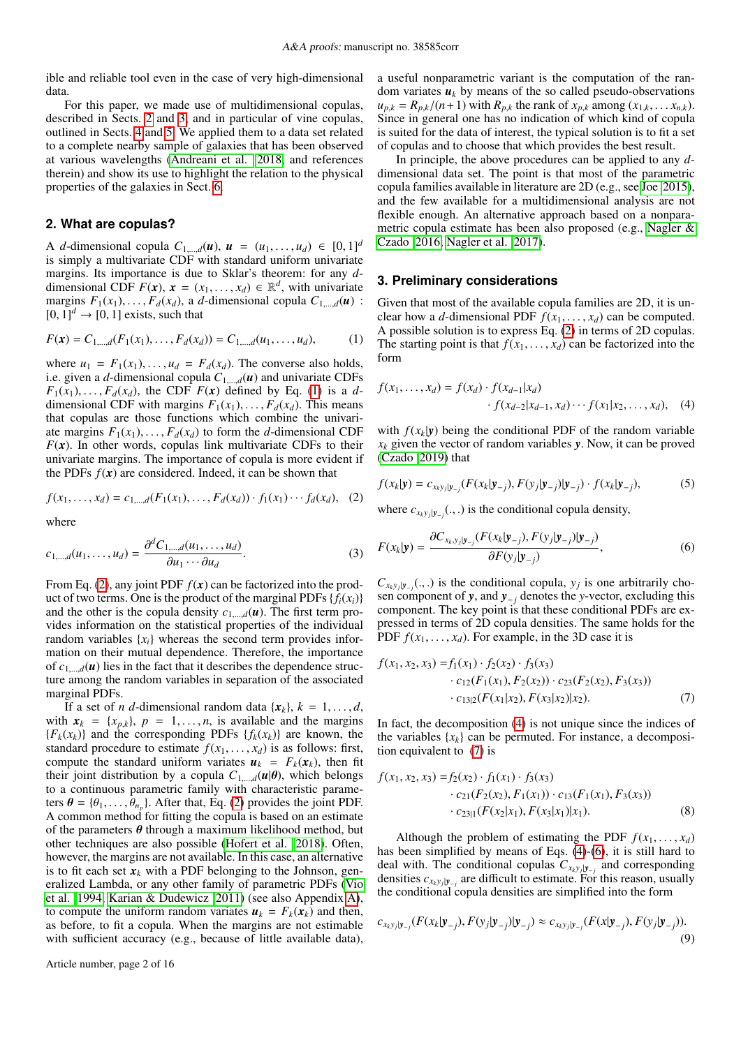ible and reliable tool even in the case of very high-dimensional data.

For this paper, we made use of multidimensional copulas, described in Sects. [2](#page-1-0) and [3,](#page-1-1) and in particular of vine copulas, outlined in Sects. [4](#page-2-0) and [5.](#page-2-1) We applied them to a data set related to a complete nearby sample of galaxies that has been observed at various wavelengths [\(Andreani et al. 2018,](#page-4-2) and references therein) and show its use to highlight the relation to the physical properties of the galaxies in Sect. [6.](#page-3-0)

# <span id="page-1-0"></span>**2. What are copulas?**

A *d*-dimensional copula  $C_{1,...,d}(u)$ ,  $u = (u_1,...,u_d) \in [0,1]^d$ is simply a multivariate CDF with standard uniform univariate margins. Its importance is due to Sklar's theorem: for any *d*dimensional CDF  $F(x)$ ,  $x = (x_1, \ldots, x_d) \in \mathbb{R}^d$ , with univariate<br>margins  $F_1(x_1) = F_2(x_2)$  a d-dimensional copula  $C_1 = a(u)$ . margins  $F_1(x_1), \ldots, F_d(x_d)$ , a *d*-dimensional copula  $C_{1,\ldots,d}(u)$ :  $[0, 1]^d \rightarrow [0, 1]$  exists, such that

<span id="page-1-2"></span>
$$
F(\mathbf{x}) = C_{1,\dots,d}(F_1(x_1),\dots,F_d(x_d)) = C_{1,\dots,d}(u_1,\dots,u_d),\tag{1}
$$

where  $u_1 = F_1(x_1), \ldots, u_d = F_d(x_d)$ . The converse also holds, i.e. given a *d*-dimensional copula  $C_{1,\dots,d}(u)$  and univariate CDFs  $F_1(x_1), \ldots, F_d(x_d)$ , the CDF  $F(x)$  defined by Eq. [\(1\)](#page-1-2) is a *d*dimensional CDF with margins  $F_1(x_1), \ldots, F_d(x_d)$ . This means that copulas are those functions which combine the univariate margins  $F_1(x_1), \ldots, F_d(x_d)$  to form the *d*-dimensional CDF  $F(x)$ . In other words, copulas link multivariate CDFs to their univariate margins. The importance of copula is more evident if the PDFs  $f(x)$  are considered. Indeed, it can be shown that

$$
f(x_1, ..., x_d) = c_{1, ..., d}(F_1(x_1), ..., F_d(x_d)) \cdot f_1(x_1) \cdots f_d(x_d), \quad (2)
$$

where

$$
c_{1,\dots,d}(u_1,\dots,u_d) = \frac{\partial^d C_{1,\dots,d}(u_1,\dots,u_d)}{\partial u_1 \cdots \partial u_d}.
$$
 (3)

From Eq. [\(2\)](#page-1-3), any joint PDF *f*(*x*) can be factorized into the product of two terms. One is the product of the marginal PDFs  $\{f_i(x_i)\}$ and the other is the copula density  $c_{1,\dots,d}(u)$ . The first term provides information on the statistical properties of the individual random variables  $\{x_i\}$  whereas the second term provides information on their mutual dependence. Therefore, the importance of  $c_{1,\dots,d}(u)$  lies in the fact that it describes the dependence structure among the random variables in separation of the associated marginal PDFs.

If a set of *n d*-dimensional random data  $\{x_k\}, k = 1, \ldots, d$ , with  $x_k = \{x_{p,k}\}\$ ,  $p = 1, \ldots, n$ , is available and the margins  ${F_k(x_k)}$  and the corresponding PDFs  ${f_k(x_k)}$  are known, the standard procedure to estimate  $f(x_1, \ldots, x_d)$  is as follows: first, compute the standard uniform variates  $u_k = F_k(x_k)$ , then fit their joint distribution by a copula  $C_{1,\dots,d}(u|\theta)$ , which belongs to a continuous parametric family with characteristic parameters  $\boldsymbol{\theta} = {\theta_1, \dots, \theta_{n_p}}$ . After that, Eq. [\(2\)](#page-1-3) provides the joint PDF.<br>A common method for fitting the copula is based on an estimate A common method for fitting the copula is based on an estimate of the parameters  $\theta$  through a maximum likelihood method, but other techniques are also possible [\(Hofert et al. 2018\)](#page-5-3). Often, however, the margins are not available. In this case, an alternative is to fit each set  $x_k$  with a PDF belonging to the Johnson, generalized Lambda, or any other family of parametric PDFs [\(Vio](#page-5-13) [et al. 1994;](#page-5-13) [Karian & Dudewicz 2011\)](#page-5-14) (see also Appendix [A\)](#page-14-0), to compute the uniform random variates  $u_k = F_k(x_k)$  and then, as before, to fit a copula. When the margins are not estimable with sufficient accuracy (e.g., because of little available data),

a useful nonparametric variant is the computation of the random variates  $u_k$  by means of the so called pseudo-observations  $u_{p,k} = R_{p,k}/(n+1)$  with  $R_{p,k}$  the rank of  $x_{p,k}$  among  $(x_{1,k}, \ldots, x_{n,k})$ . Since in general one has no indication of which kind of copula is suited for the data of interest, the typical solution is to fit a set of copulas and to choose that which provides the best result.

In principle, the above procedures can be applied to any *d*dimensional data set. The point is that most of the parametric copula families available in literature are 2D (e.g., see [Joe 2015\)](#page-5-11), and the few available for a multidimensional analysis are not flexible enough. An alternative approach based on a nonparametric copula estimate has been also proposed (e.g., [Nagler &](#page-5-15) [Czado 2016;](#page-5-15) [Nagler et al. 2017\)](#page-5-16).

#### <span id="page-1-1"></span>**3. Preliminary considerations**

Given that most of the available copula families are 2D, it is unclear how a *d*-dimensional PDF  $f(x_1, \ldots, x_d)$  can be computed. A possible solution is to express Eq. [\(2\)](#page-1-3) in terms of 2D copulas. The starting point is that  $f(x_1, \ldots, x_d)$  can be factorized into the form

<span id="page-1-4"></span>
$$
f(x_1,...,x_d) = f(x_d) \cdot f(x_{d-1}|x_d)
$$

$$
\cdot f(x_{d-2}|x_{d-1}, x_d) \cdots f(x_1|x_2,...,x_d), \quad (4)
$$

<span id="page-1-9"></span>with  $f(x_k|y)$  being the conditional PDF of the random variable  $x_k$  given the vector of random variables *y*. Now, it can be proved [\(Czado 2019\)](#page-5-12) that

<span id="page-1-3"></span>
$$
f(x_k|\mathbf{y}) = c_{x_ky_j|\mathbf{y}_{-j}}(F(x_k|\mathbf{y}_{-j}), F(y_j|\mathbf{y}_{-j})|\mathbf{y}_{-j}) \cdot f(x_k|\mathbf{y}_{-j}),
$$
 (5)

<span id="page-1-6"></span>where  $c_{x_k y_j | y_{-j}}(., .)$  is the conditional copula density,

$$
F(x_k|\mathbf{y}) = \frac{\partial C_{x_k, y_j|\mathbf{y}_{-j}}(F(x_k|\mathbf{y}_{-j}), F(y_j|\mathbf{y}_{-j})|\mathbf{y}_{-j})}{\partial F(y_j|\mathbf{y}_{-j})},
$$
(6)

 $C_{x_k y_j |y_{-j}}(.,.)$  is the conditional copula,  $y_j$  is one arbitrarily cho-<br>sen component of **y** and **y** denotes the y-vector excluding this sen component of *<sup>y</sup>*, and *<sup>y</sup>*<sup>−</sup>*<sup>j</sup>* denotes the *<sup>y</sup>*-vector, excluding this component. The key point is that these conditional PDFs are expressed in terms of 2D copula densities. The same holds for the PDF  $f(x_1, \ldots, x_d)$ . For example, in the 3D case it is

<span id="page-1-5"></span>
$$
f(x_1, x_2, x_3) = f_1(x_1) \cdot f_2(x_2) \cdot f_3(x_3)
$$
  
\n
$$
\cdot c_{12}(F_1(x_1), F_2(x_2)) \cdot c_{23}(F_2(x_2), F_3(x_3))
$$
  
\n
$$
\cdot c_{13|2}(F(x_1|x_2), F(x_3|x_2)|x_2).
$$
 (7)

In fact, the decomposition [\(4\)](#page-1-4) is not unique since the indices of the variables  $\{x_k\}$  can be permuted. For instance, a decomposition equivalent to [\(7\)](#page-1-5) is

$$
f(x_1, x_2, x_3) = f_2(x_2) \cdot f_1(x_1) \cdot f_3(x_3)
$$
  
\n
$$
\cdot c_{21}(F_2(x_2), F_1(x_1)) \cdot c_{13}(F_1(x_1), F_3(x_3))
$$
  
\n
$$
\cdot c_{23|1}(F(x_2|x_1), F(x_3|x_1)|x_1).
$$
 (8)

<span id="page-1-7"></span>Although the problem of estimating the PDF  $f(x_1, \ldots, x_d)$ has been simplified by means of Eqs. [\(4\)](#page-1-4)-[\(6\)](#page-1-6), it is still hard to deal with. The conditional copulas  $C_{x_k y_j | y_{-j}}$  and corresponding densities  $c_{x_k y_j | y_{-j}}$  are difficult to estimate. For this reason, usually the conditional copula densities are simplified into the form

<span id="page-1-8"></span>
$$
c_{x_ky_j|\mathbf{y}_{-j}}(F(x_k|\mathbf{y}_{-j}), F(y_j|\mathbf{y}_{-j})|\mathbf{y}_{-j}) \approx c_{x_ky_j|\mathbf{y}_{-j}}(F(x|\mathbf{y}_{-j}), F(y_j|\mathbf{y}_{-j})).
$$
\n(9)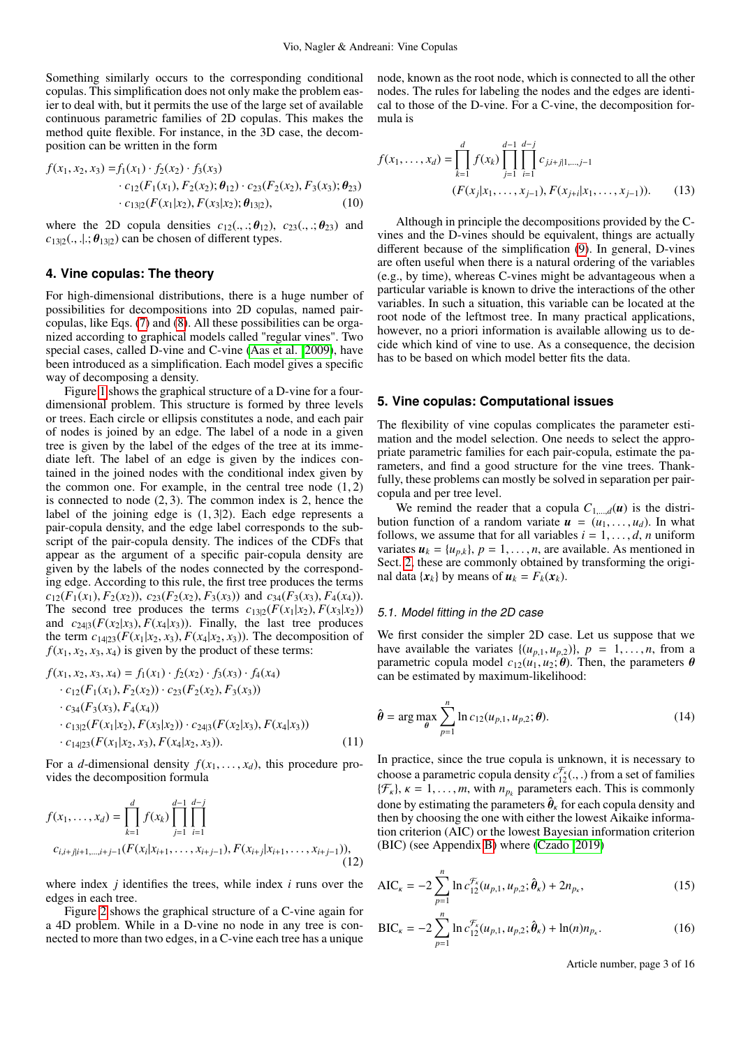Something similarly occurs to the corresponding conditional copulas. This simplification does not only make the problem easier to deal with, but it permits the use of the large set of available continuous parametric families of 2D copulas. This makes the method quite flexible. For instance, in the 3D case, the decomposition can be written in the form

$$
f(x_1, x_2, x_3) = f_1(x_1) \cdot f_2(x_2) \cdot f_3(x_3)
$$
  
\n
$$
\cdot c_{12}(F_1(x_1), F_2(x_2); \theta_{12}) \cdot c_{23}(F_2(x_2), F_3(x_3); \theta_{23})
$$
  
\n
$$
\cdot c_{13|2}(F(x_1|x_2), F(x_3|x_2); \theta_{13|2}),
$$
 (10)

where the 2D copula densities  $c_{12}(\ldots;\boldsymbol{\theta}_{12}), c_{23}(\ldots;\boldsymbol{\theta}_{23})$  and  $c_{13|2}$ (., .|.;  $\theta_{13|2}$ ) can be chosen of different types.

## <span id="page-2-0"></span>**4. Vine copulas: The theory**

For high-dimensional distributions, there is a huge number of possibilities for decompositions into 2D copulas, named paircopulas, like Eqs. [\(7\)](#page-1-5) and [\(8\)](#page-1-7). All these possibilities can be organized according to graphical models called "regular vines". Two special cases, called D-vine and C-vine [\(Aas et al. 2009\)](#page-4-3), have been introduced as a simplification. Each model gives a specific way of decomposing a density.

Figure [1](#page-6-0) shows the graphical structure of a D-vine for a fourdimensional problem. This structure is formed by three levels or trees. Each circle or ellipsis constitutes a node, and each pair of nodes is joined by an edge. The label of a node in a given tree is given by the label of the edges of the tree at its immediate left. The label of an edge is given by the indices contained in the joined nodes with the conditional index given by the common one. For example, in the central tree node  $(1, 2)$ is connected to node (2, 3). The common index is 2, hence the label of the joining edge is (1, <sup>3</sup>|2). Each edge represents a pair-copula density, and the edge label corresponds to the subscript of the pair-copula density. The indices of the CDFs that appear as the argument of a specific pair-copula density are given by the labels of the nodes connected by the corresponding edge. According to this rule, the first tree produces the terms  $c_{12}(F_1(x_1), F_2(x_2))$ ,  $c_{23}(F_2(x_2), F_3(x_3))$  and  $c_{34}(F_3(x_3), F_4(x_4))$ . The second tree produces the terms  $c_{13|2}(F(x_1|x_2), F(x_3|x_2))$ and  $c_{24|3}(F(x_2|x_3), F(x_4|x_3))$ . Finally, the last tree produces the term  $c_{14|23}(F(x_1|x_2, x_3), F(x_4|x_2, x_3))$ . The decomposition of  $f(x_1, x_2, x_3, x_4)$  is given by the product of these terms:

$$
f(x_1, x_2, x_3, x_4) = f_1(x_1) \cdot f_2(x_2) \cdot f_3(x_3) \cdot f_4(x_4)
$$
  
\n
$$
\cdot c_{12}(F_1(x_1), F_2(x_2)) \cdot c_{23}(F_2(x_2), F_3(x_3))
$$
  
\n
$$
\cdot c_{34}(F_3(x_3), F_4(x_4))
$$
  
\n
$$
\cdot c_{13|2}(F(x_1|x_2), F(x_3|x_2)) \cdot c_{24|3}(F(x_2|x_3), F(x_4|x_3))
$$
  
\n
$$
\cdot c_{14|23}(F(x_1|x_2, x_3), F(x_4|x_2, x_3)).
$$
\n(11)

For a *d*-dimensional density  $f(x_1, \ldots, x_d)$ , this procedure provides the decomposition formula

$$
f(x_1, ..., x_d) = \prod_{k=1}^d f(x_k) \prod_{j=1}^{d-1} \prod_{i=1}^{d-j}
$$
  

$$
c_{i,i+j|i+1,...,i+j-1}(F(x_i|x_{i+1},...,x_{i+j-1}), F(x_{i+j}|x_{i+1},...,x_{i+j-1})),
$$
 (12)

where index *j* identifies the trees, while index *i* runs over the edges in each tree.

Figure [2](#page-7-0) shows the graphical structure of a C-vine again for a 4D problem. While in a D-vine no node in any tree is connected to more than two edges, in a C-vine each tree has a unique node, known as the root node, which is connected to all the other nodes. The rules for labeling the nodes and the edges are identical to those of the D-vine. For a C-vine, the decomposition formula is

$$
f(x_1, ..., x_d) = \prod_{k=1}^d f(x_k) \prod_{j=1}^{d-1} \prod_{i=1}^{d-j} c_{j,i+j|1,...,j-1}
$$
  

$$
(F(x_j|x_1, ..., x_{j-1}), F(x_{j+i}|x_1, ..., x_{j-1})).
$$
 (13)

Although in principle the decompositions provided by the Cvines and the D-vines should be equivalent, things are actually different because of the simplification [\(9\)](#page-1-8). In general, D-vines are often useful when there is a natural ordering of the variables (e.g., by time), whereas C-vines might be advantageous when a particular variable is known to drive the interactions of the other variables. In such a situation, this variable can be located at the root node of the leftmost tree. In many practical applications, however, no a priori information is available allowing us to decide which kind of vine to use. As a consequence, the decision has to be based on which model better fits the data.

# <span id="page-2-1"></span>**5. Vine copulas: Computational issues**

The flexibility of vine copulas complicates the parameter estimation and the model selection. One needs to select the appropriate parametric families for each pair-copula, estimate the parameters, and find a good structure for the vine trees. Thankfully, these problems can mostly be solved in separation per paircopula and per tree level.

We remind the reader that a copula  $C_{1,\dots,d}(u)$  is the distribution function of a random variate  $u = (u_1, \ldots, u_d)$ . In what follows, we assume that for all variables  $i = 1, \ldots, d, n$  uniform variates  $u_k = \{u_{p,k}\}\$ ,  $p = 1, \ldots, n$ , are available. As mentioned in Sect. [2,](#page-1-0) these are commonly obtained by transforming the original data  $\{x_k\}$  by means of  $u_k = F_k(x_k)$ .

#### <span id="page-2-3"></span>5.1. Model fitting in the 2D case

We first consider the simpler 2D case. Let us suppose that we have available the variates  $\{(u_{p,1}, u_{p,2})\}, p = 1, \ldots, n$ , from a parametric copula model  $c_{12}(u_1, u_2; \theta)$ . Then, the parameters  $\theta$ can be estimated by maximum-likelihood:

$$
\hat{\boldsymbol{\theta}} = \arg \max_{\boldsymbol{\theta}} \sum_{p=1}^{n} \ln c_{12}(u_{p,1}, u_{p,2}; \boldsymbol{\theta}).
$$
\n(14)

<span id="page-2-2"></span>In practice, since the true copula is unknown, it is necessary to choose a parametric copula density  $c_{12}^{\mathcal{F}_k}(\ldots)$  from a set of families  $\{\mathcal{F}_k\}$   $k = 1$  m with  $n_k$  parameters each This is commonly  $\{\mathcal{F}_k\}, \kappa = 1, \ldots, m$ , with  $n_{p_k}$  parameters each. This is commonly done by estimating the parameters  $\hat{\theta}_k$  for each copula density and then by choosing the one with either the lowest Aikaike informathen by choosing the one with either the lowest Aikaike information criterion (AIC) or the lowest Bayesian information criterion (BIC) (see Appendix [B\)](#page-14-1) where [\(Czado 2019\)](#page-5-12)

$$
AIC_{\kappa} = -2 \sum_{p=1}^{n} \ln c_{12}^{\mathcal{F}_{\kappa}}(u_{p,1}, u_{p,2}; \hat{\theta}_{\kappa}) + 2n_{p_{\kappa}},
$$
\n(15)

$$
BIC_{\kappa} = -2 \sum_{p=1}^{n} \ln c_{12}^{\mathcal{F}_{\kappa}}(u_{p,1}, u_{p,2}; \hat{\theta}_{\kappa}) + \ln(n) n_{p_{\kappa}}.
$$
 (16)

Article number, page 3 of 16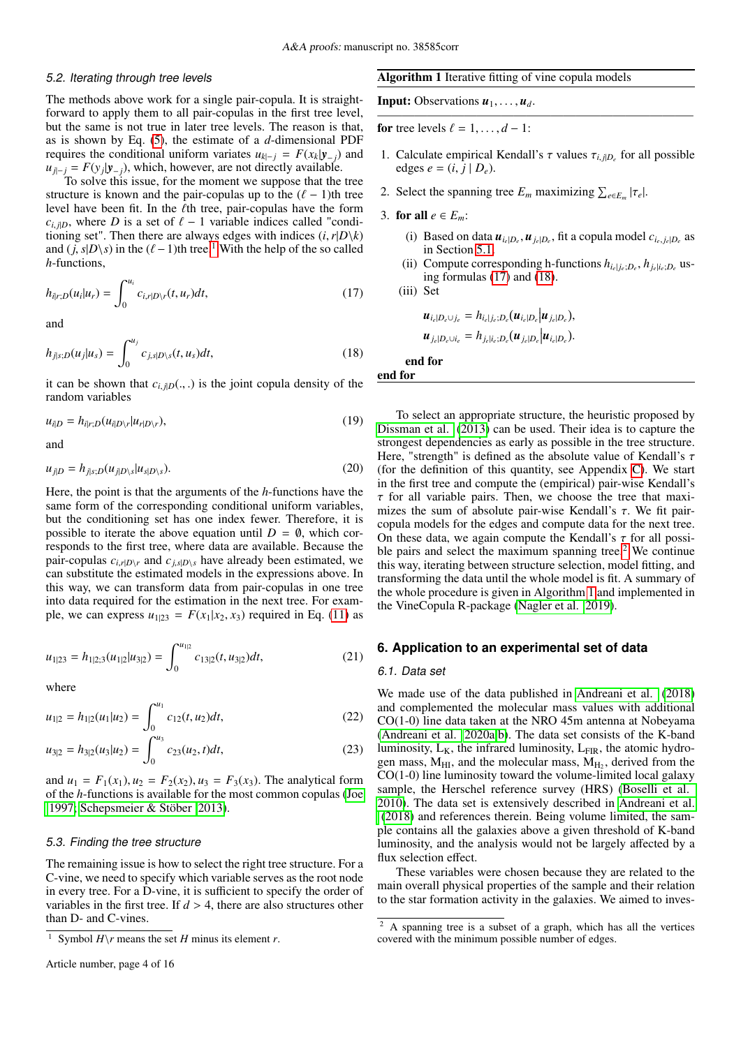#### 5.2. Iterating through tree levels

The methods above work for a single pair-copula. It is straightforward to apply them to all pair-copulas in the first tree level, but the same is not true in later tree levels. The reason is that, as is shown by Eq. [\(5\)](#page-1-9), the estimate of a *d*-dimensional PDF requires the conditional uniform variates  $u_{k|-j} = F(x_k | y_{-j})$  and  $u_{j|-j} = F(y_j|y_{-j})$ , which, however, are not directly available.<br>To solve this issue, for the moment we suppose that the

To solve this issue, for the moment we suppose that the tree structure is known and the pair-copulas up to the  $(\ell - 1)$ th tree level have been fit. In the  $\ell$ th tree, pair-copulas have the form  $c_{i,i,D}$ , where *D* is a set of  $\ell - 1$  variable indices called "conditioning set". Then there are always edges with indices  $(i, r|D\backslash k)$ and  $(j, s|D\backslash s)$  in the  $(\ell - 1)$  $(\ell - 1)$  $(\ell - 1)$ th tree.<sup>1</sup> With the help of the so called *h*-functions,

<span id="page-3-2"></span>
$$
h_{i|r;D}(u_i|u_r) = \int_0^{u_i} c_{i,r|D\setminus r}(t,u_r)dt,
$$
\n(17)

<span id="page-3-3"></span>and

$$
h_{j|s;D}(u_j|u_s) = \int_0^{u_j} c_{j,s|D\setminus s}(t,u_s)dt,
$$
\n(18)

<span id="page-3-6"></span>it can be shown that  $c_{i,j|D}(.,.)$  is the joint copula density of the random variables

$$
u_{i|D} = h_{i|r;D}(u_{i|D\setminus r}|u_{r|D\setminus r}),
$$
\n(19)

<span id="page-3-7"></span>and

$$
u_{j|D} = h_{j|s;D}(u_{j|D\setminus s}|u_{s|D\setminus s}).
$$
\n(20)

Here, the point is that the arguments of the *h*-functions have the same form of the corresponding conditional uniform variables, but the conditioning set has one index fewer. Therefore, it is possible to iterate the above equation until  $D = \emptyset$ , which corresponds to the first tree, where data are available. Because the pair-copulas  $c_{i,r|D\setminus r}$  and  $c_{i,s|D\setminus s}$  have already been estimated, we can substitute the estimated models in the expressions above. In this way, we can transform data from pair-copulas in one tree into data required for the estimation in the next tree. For example, we can express  $u_{1|23} = F(x_1|x_2, x_3)$  required in Eq. [\(11\)](#page-2-2) as

$$
u_{1|23} = h_{1|2;3}(u_{1|2}|u_{3|2}) = \int_0^{u_{1|2}} c_{13|2}(t, u_{3|2})dt,
$$
 (21)

where

$$
u_{1|2} = h_{1|2}(u_1|u_2) = \int_0^{u_1} c_{12}(t, u_2) dt,
$$
 (22)

$$
u_{3|2} = h_{3|2}(u_3|u_2) = \int_0^{u_3} c_{23}(u_2, t)dt,
$$
\n(23)

and  $u_1 = F_1(x_1), u_2 = F_2(x_2), u_3 = F_3(x_3)$ . The analytical form of the *h*-functions is available for the most common copulas [\(Joe](#page-5-17) [1997;](#page-5-17) [Schepsmeier & Stöber 2013\)](#page-5-18).

#### 5.3. Finding the tree structure

The remaining issue is how to select the right tree structure. For a C-vine, we need to specify which variable serves as the root node in every tree. For a D-vine, it is sufficient to specify the order of variables in the first tree. If  $d > 4$ , there are also structures other than D- and C-vines.

#### <span id="page-3-5"></span>Algorithm 1 Iterative fitting of vine copula models

**Input:** Observations  $u_1, \ldots, u_d$ .

for tree levels  $\ell = 1, \ldots, d - 1$ :

1. Calculate empirical Kendall's τ values  $\tau_{i,j|D_e}$  for all possible edges  $e = (i \ i | D_e)$ edges  $e = (i, j | D_e)$ .

—————————————————————————–

- 2. Select the spanning tree  $E_m$  maximizing  $\sum_{e \in E_m} |\tau_e|$ .
- 3. for all  $e \in E_m$ :
	- (i) Based on data  $u_{i_e|D_e}$ ,  $u_{j_e|D_e}$ , fit a copula model  $c_{i_e,j_e|D_e}$  as in Section 5.1 in Section [5.1.](#page-2-3)
	- (ii) Compute corresponding h-functions  $h_{i_e|j_e;D_e}, h_{j_e|i_e;D_e}$  using formulas [\(17\)](#page-3-2) and [\(18\)](#page-3-3).

(iii) Set

$$
\boldsymbol{u}_{i_e|D_e\cup j_e} = h_{i_e|j_e;D_e}(\boldsymbol{u}_{i_e|D_e}|\boldsymbol{u}_{j_e|D_e}),
$$
  

$$
\boldsymbol{u}_{j_e|D_e\cup i_e} = h_{j_e|i_e;D_e}(\boldsymbol{u}_{j_e|D_e}|\boldsymbol{u}_{i_e|D_e}).
$$

end for

end for

To select an appropriate structure, the heuristic proposed by [Dissman et al.](#page-5-19) [\(2013\)](#page-5-19) can be used. Their idea is to capture the strongest dependencies as early as possible in the tree structure. Here, "strength" is defined as the absolute value of Kendall's  $\tau$ (for the definition of this quantity, see Appendix [C\)](#page-14-2). We start in the first tree and compute the (empirical) pair-wise Kendall's  $\tau$  for all variable pairs. Then, we choose the tree that maximizes the sum of absolute pair-wise Kendall's  $\tau$ . We fit paircopula models for the edges and compute data for the next tree. On these data, we again compute the Kendall's  $\tau$  for all possible pairs and select the maximum spanning tree. $2$  We continue this way, iterating between structure selection, model fitting, and transforming the data until the whole model is fit. A summary of the whole procedure is given in Algorithm [1](#page-3-5) and implemented in the VineCopula R-package [\(Nagler et al. 2019\)](#page-5-20).

#### <span id="page-3-0"></span>**6. Application to an experimental set of data**

#### 6.1. Data set

We made use of the data published in [Andreani et al.](#page-4-2) [\(2018\)](#page-4-2) and complemented the molecular mass values with additional CO(1-0) line data taken at the NRO 45m antenna at Nobeyama [\(Andreani et al. 2020a,](#page-4-4)[b\)](#page-4-5). The data set consists of the K-band luminosity,  $L_K$ , the infrared luminosity,  $L_{FIR}$ , the atomic hydrogen mass,  $M_{HI}$ , and the molecular mass,  $M_{H_2}$ , derived from the CO(1-0) line luminosity toward the volume-limited local galaxy sample, the Herschel reference survey (HRS) [\(Boselli et al.](#page-5-21) [2010\)](#page-5-21). The data set is extensively described in [Andreani et al.](#page-4-2) [\(2018\)](#page-4-2) and references therein. Being volume limited, the sample contains all the galaxies above a given threshold of K-band luminosity, and the analysis would not be largely affected by a flux selection effect.

These variables were chosen because they are related to the main overall physical properties of the sample and their relation to the star formation activity in the galaxies. We aimed to inves-

<span id="page-3-1"></span><sup>&</sup>lt;sup>1</sup> Symbol  $H\$ r means the set *H* minus its element *r*.

<span id="page-3-4"></span><sup>2</sup> A spanning tree is a subset of a graph, which has all the vertices covered with the minimum possible number of edges.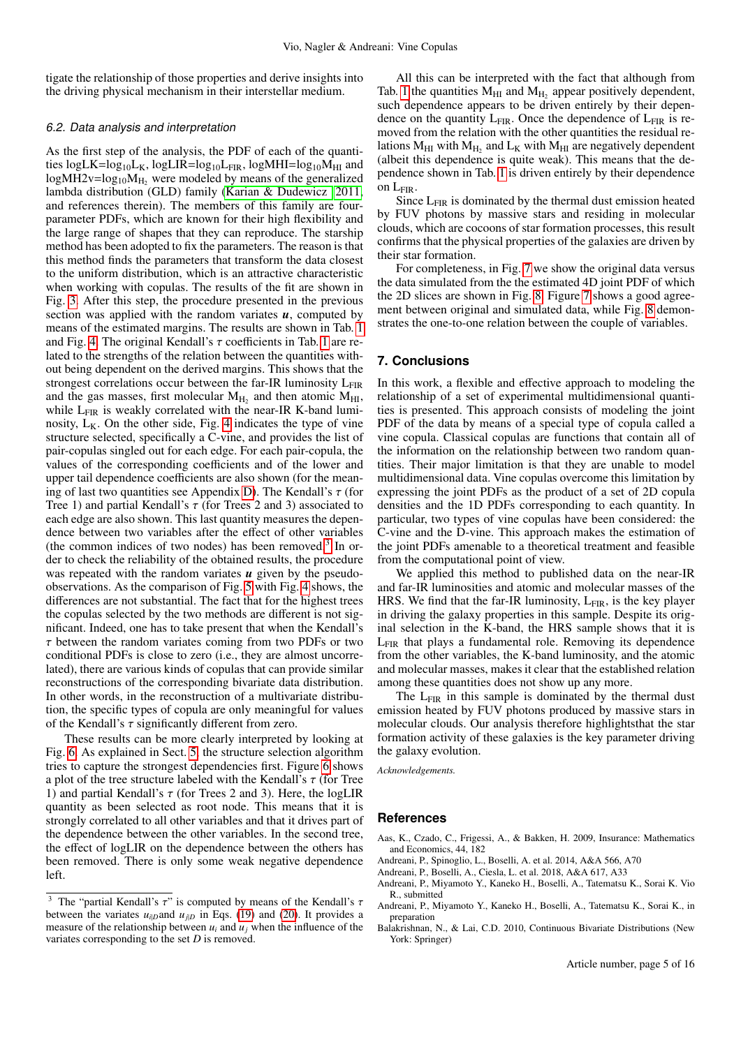tigate the relationship of those properties and derive insights into the driving physical mechanism in their interstellar medium.

#### <span id="page-4-7"></span>6.2. Data analysis and interpretation

As the first step of the analysis, the PDF of each of the quantities  $logLK = log_{10}L_K$ ,  $logLIR = log_{10}L_{FIR}$ ,  $logMHI = log_{10}M_{HI}$  and  $logMH2v=log_{10}M_{H_2}$  were modeled by means of the generalized lambda distribution (GLD) family [\(Karian & Dudewicz 2011,](#page-5-14) and references therein). The members of this family are fourparameter PDFs, which are known for their high flexibility and the large range of shapes that they can reproduce. The starship method has been adopted to fix the parameters. The reason is that this method finds the parameters that transform the data closest to the uniform distribution, which is an attractive characteristic when working with copulas. The results of the fit are shown in Fig. [3.](#page-8-0) After this step, the procedure presented in the previous section was applied with the random variates  $u$ , computed by means of the estimated margins. The results are shown in Tab. [1](#page-5-22) and Fig. [4.](#page-9-0) The original Kendall's  $\tau$  coefficients in Tab. [1](#page-5-22) are related to the strengths of the relation between the quantities without being dependent on the derived margins. This shows that the strongest correlations occur between the far-IR luminosity  $L_{\text{FIR}}$ and the gas masses, first molecular  $M_{H_2}$  and then atomic  $M_{HI}$ , while  $L_{\text{FIR}}$  is weakly correlated with the near-IR K-band luminosity,  $L_K$ . On the other side, Fig. [4](#page-9-0) indicates the type of vine structure selected, specifically a C-vine, and provides the list of pair-copulas singled out for each edge. For each pair-copula, the values of the corresponding coefficients and of the lower and upper tail dependence coefficients are also shown (for the mean-ing of last two quantities see Appendix [D\)](#page-15-0). The Kendall's  $\tau$  (for Tree 1) and partial Kendall's  $\tau$  (for Trees 2 and 3) associated to each edge are also shown. This last quantity measures the dependence between two variables after the effect of other variables (the common indices of two nodes) has been removed.[3](#page-4-6) In order to check the reliability of the obtained results, the procedure was repeated with the random variates *u* given by the pseudoobservations. As the comparison of Fig. [5](#page-10-0) with Fig. [4](#page-9-0) shows, the differences are not substantial. The fact that for the highest trees the copulas selected by the two methods are different is not significant. Indeed, one has to take present that when the Kendall's  $\tau$  between the random variates coming from two PDFs or two conditional PDFs is close to zero (i.e., they are almost uncorrelated), there are various kinds of copulas that can provide similar reconstructions of the corresponding bivariate data distribution. In other words, in the reconstruction of a multivariate distribution, the specific types of copula are only meaningful for values of the Kendall's  $\tau$  significantly different from zero.

These results can be more clearly interpreted by looking at Fig. [6.](#page-11-0) As explained in Sect. [5,](#page-2-1) the structure selection algorithm tries to capture the strongest dependencies first. Figure [6](#page-11-0) shows a plot of the tree structure labeled with the Kendall's  $\tau$  (for Tree 1) and partial Kendall's  $\tau$  (for Trees 2 and 3). Here, the logLIR quantity as been selected as root node. This means that it is strongly correlated to all other variables and that it drives part of the dependence between the other variables. In the second tree, the effect of logLIR on the dependence between the others has been removed. There is only some weak negative dependence left.

All this can be interpreted with the fact that although from Tab. [1](#page-5-22) the quantities  $M_{HI}$  and  $M_{H_2}$  appear positively dependent, such dependence appears to be driven entirely by their dependence on the quantity  $L_{FIR}$ . Once the dependence of  $L_{FIR}$  is removed from the relation with the other quantities the residual relations  $M_{HI}$  with  $M_{H_2}$  and  $L_K$  with  $M_{HI}$  are negatively dependent (albeit this dependence is quite weak). This means that the dependence shown in Tab. [1](#page-5-22) is driven entirely by their dependence on LFIR.

Since L<sub>FIR</sub> is dominated by the thermal dust emission heated by FUV photons by massive stars and residing in molecular clouds, which are cocoons of star formation processes, this result confirms that the physical properties of the galaxies are driven by their star formation.

For completeness, in Fig. [7](#page-12-0) we show the original data versus the data simulated from the the estimated 4D joint PDF of which the 2D slices are shown in Fig. [8.](#page-13-0) Figure [7](#page-12-0) shows a good agreement between original and simulated data, while Fig. [8](#page-13-0) demonstrates the one-to-one relation between the couple of variables.

# **7. Conclusions**

In this work, a flexible and effective approach to modeling the relationship of a set of experimental multidimensional quantities is presented. This approach consists of modeling the joint PDF of the data by means of a special type of copula called a vine copula. Classical copulas are functions that contain all of the information on the relationship between two random quantities. Their major limitation is that they are unable to model multidimensional data. Vine copulas overcome this limitation by expressing the joint PDFs as the product of a set of 2D copula densities and the 1D PDFs corresponding to each quantity. In particular, two types of vine copulas have been considered: the C-vine and the D-vine. This approach makes the estimation of the joint PDFs amenable to a theoretical treatment and feasible from the computational point of view.

We applied this method to published data on the near-IR and far-IR luminosities and atomic and molecular masses of the HRS. We find that the far-IR luminosity,  $L_{FIR}$ , is the key player in driving the galaxy properties in this sample. Despite its original selection in the K-band, the HRS sample shows that it is L<sub>FIR</sub> that plays a fundamental role. Removing its dependence from the other variables, the K-band luminosity, and the atomic and molecular masses, makes it clear that the established relation among these quantities does not show up any more.

The  $L_{\text{FIR}}$  in this sample is dominated by the thermal dust emission heated by FUV photons produced by massive stars in molecular clouds. Our analysis therefore highlightsthat the star formation activity of these galaxies is the key parameter driving the galaxy evolution.

*Acknowledgements.*

# **References**

- <span id="page-4-3"></span>Aas, K., Czado, C., Frigessi, A., & Bakken, H. 2009, Insurance: Mathematics and Economics, 44, 182
- <span id="page-4-1"></span>Andreani, P., Spinoglio, L., Boselli, A. et al. 2014, A&A 566, A70
- <span id="page-4-2"></span>Andreani, P., Boselli, A., Ciesla, L. et al. 2018, A&A 617, A33
- <span id="page-4-4"></span>Andreani, P., Miyamoto Y., Kaneko H., Boselli, A., Tatematsu K., Sorai K. Vio R., submitted
- <span id="page-4-5"></span>Andreani, P., Miyamoto Y., Kaneko H., Boselli, A., Tatematsu K., Sorai K., in preparation
- <span id="page-4-0"></span>Balakrishnan, N., & Lai, C.D. 2010, Continuous Bivariate Distributions (New York: Springer)

<span id="page-4-6"></span><sup>&</sup>lt;sup>3</sup> The "partial Kendall's  $\tau$ " is computed by means of the Kendall's  $\tau$ between the variates  $u_{i|D}$  and  $u_{j|D}$  in Eqs. [\(19\)](#page-3-6) and [\(20\)](#page-3-7). It provides a measure of the relationship between  $u_i$  and  $u_j$  when the influence of the variates corresponding to the set *D* is removed.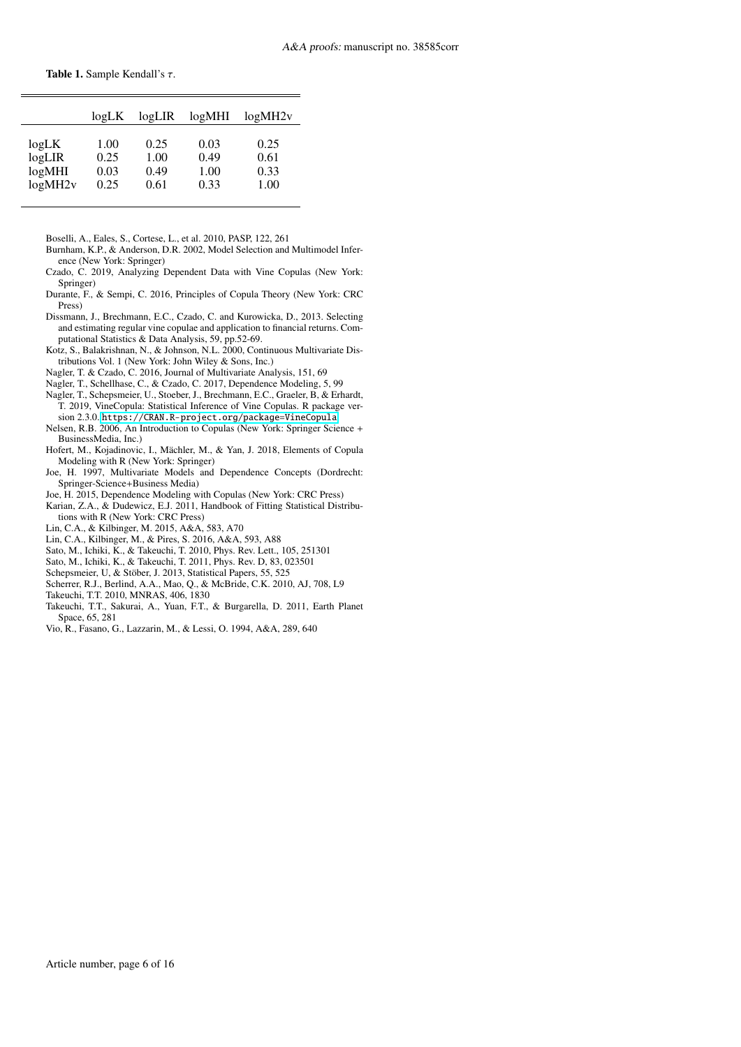<span id="page-5-22"></span>

|         | logLK | logLIR | logMHI | logMH2v |
|---------|-------|--------|--------|---------|
| logLK   | 1.00  | 0.25   | 0.03   | 0.25    |
| logLIR  | 0.25  | 1.00   | 0.49   | 0.61    |
| logMHI  | 0.03  | 0.49   | 1.00   | 0.33    |
| logMH2v | 0.25  | 0.61   | 0.33   | 1.00    |

<span id="page-5-21"></span>Boselli, A., Eales, S., Cortese, L., et al. 2010, PASP, 122, 261

- <span id="page-5-23"></span>Burnham, K.P., & Anderson, D.R. 2002, Model Selection and Multimodel Inference (New York: Springer)
- <span id="page-5-12"></span>Czado, C. 2019, Analyzing Dependent Data with Vine Copulas (New York: Springer)
- <span id="page-5-2"></span>Durante, F., & Sempi, C. 2016, Principles of Copula Theory (New York: CRC Press)
- <span id="page-5-19"></span>Dissmann, J., Brechmann, E.C., Czado, C. and Kurowicka, D., 2013. Selecting and estimating regular vine copulae and application to financial returns. Computational Statistics & Data Analysis, 59, pp.52-69.
- <span id="page-5-0"></span>Kotz, S., Balakrishnan, N., & Johnson, N.L. 2000, Continuous Multivariate Distributions Vol. 1 (New York: John Wiley & Sons, Inc.)
- <span id="page-5-15"></span>Nagler, T. & Czado, C. 2016, Journal of Multivariate Analysis, 151, 69
- <span id="page-5-16"></span>Nagler, T., Schellhase, C., & Czado, C. 2017, Dependence Modeling, 5, 99
- <span id="page-5-20"></span>Nagler, T., Schepsmeier, U., Stoeber, J., Brechmann, E.C., Graeler, B, & Erhardt, T. 2019, VineCopula: Statistical Inference of Vine Copulas. R package version 2.3.0. <https://CRAN.R-project.org/package=VineCopula>
- <span id="page-5-1"></span>Nelsen, R.B. 2006, An Introduction to Copulas (New York: Springer Science + BusinessMedia, Inc.)
- <span id="page-5-3"></span>Hofert, M., Kojadinovic, I., Mächler, M., & Yan, J. 2018, Elements of Copula Modeling with R (New York: Springer)
- <span id="page-5-17"></span>Joe, H. 1997, Multivariate Models and Dependence Concepts (Dordrecht: Springer-Science+Business Media)
- <span id="page-5-11"></span>Joe, H. 2015, Dependence Modeling with Copulas (New York: CRC Press)
- <span id="page-5-14"></span>Karian, Z.A., & Dudewicz, E.J. 2011, Handbook of Fitting Statistical Distributions with R (New York: CRC Press)
- <span id="page-5-5"></span>Lin, C.A., & Kilbinger, M. 2015, A&A, 583, A70
- <span id="page-5-6"></span>Lin, C.A., Kilbinger, M., & Pires, S. 2016, A&A, 593, A88
- <span id="page-5-7"></span>Sato, M., Ichiki, K., & Takeuchi, T. 2010, Phys. Rev. Lett., 105, 251301
- <span id="page-5-8"></span>Sato, M., Ichiki, K., & Takeuchi, T. 2011, Phys. Rev. D, 83, 023501
- <span id="page-5-18"></span>Schepsmeier, U, & Stöber, J. 2013, Statistical Papers, 55, 525
- <span id="page-5-4"></span>Scherrer, R.J., Berlind, A.A., Mao, Q., & McBride, C.K. 2010, AJ, 708, L9
- <span id="page-5-9"></span>Takeuchi, T.T. 2010, MNRAS, 406, 1830
- <span id="page-5-10"></span>Takeuchi, T.T., Sakurai, A., Yuan, F.T., & Burgarella, D. 2011, Earth Planet Space, 65, 281
- <span id="page-5-13"></span>Vio, R., Fasano, G., Lazzarin, M., & Lessi, O. 1994, A&A, 289, 640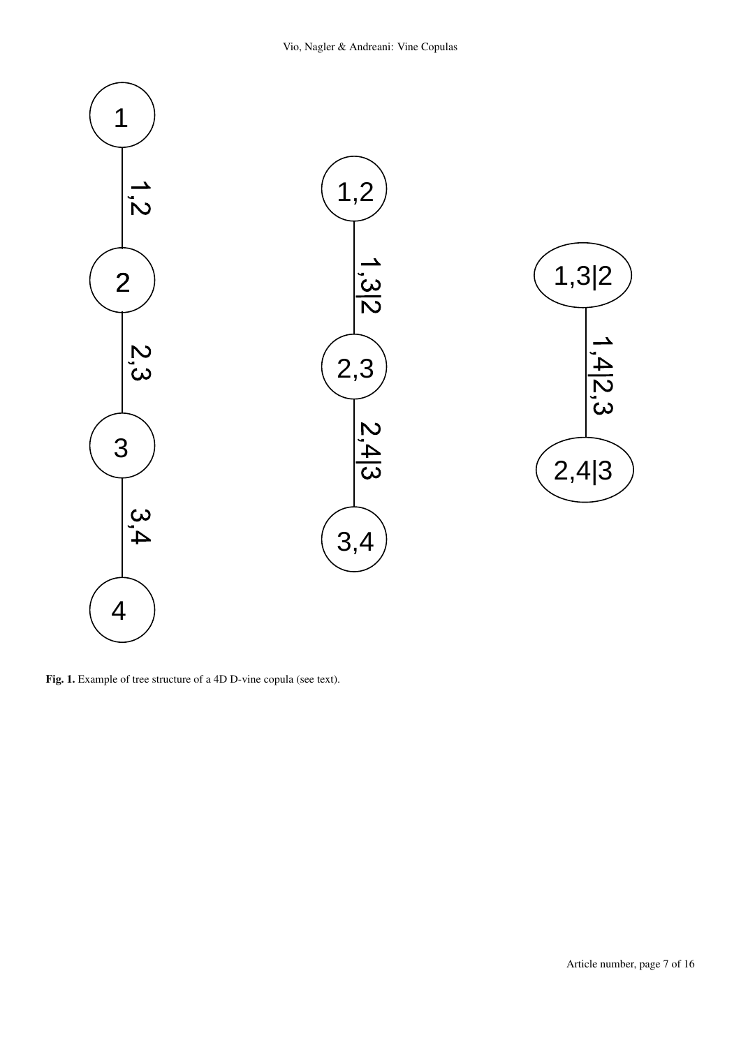

<span id="page-6-0"></span>Fig. 1. Example of tree structure of a 4D D-vine copula (see text).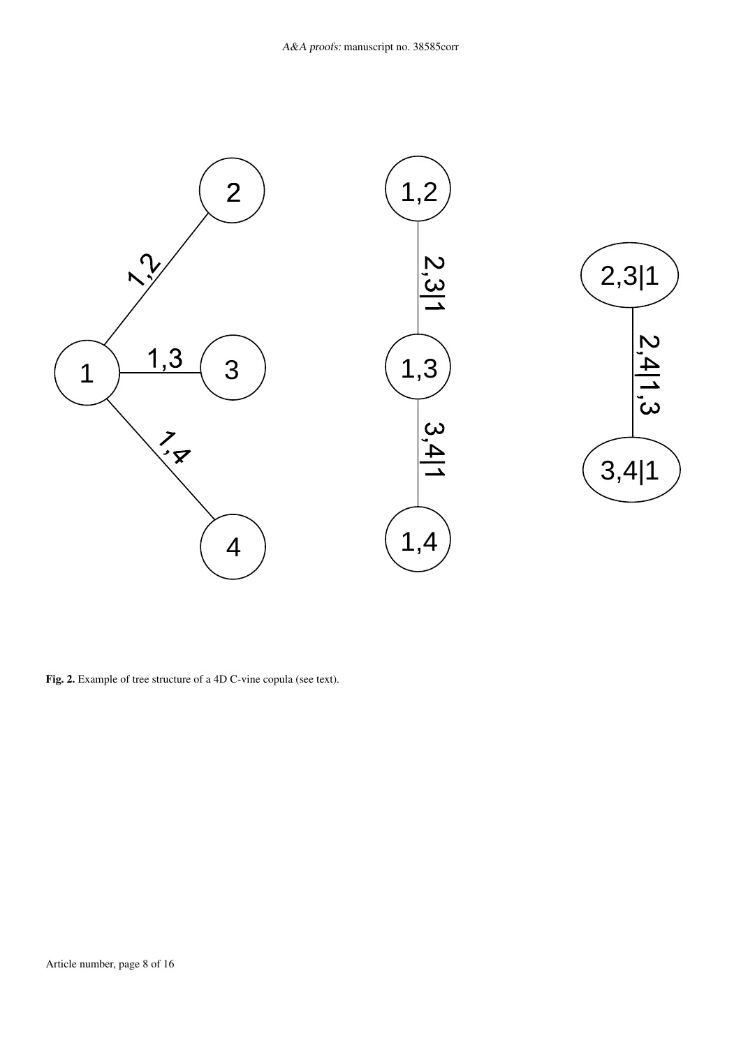

<span id="page-7-0"></span>Fig. 2. Example of tree structure of a 4D C-vine copula (see text).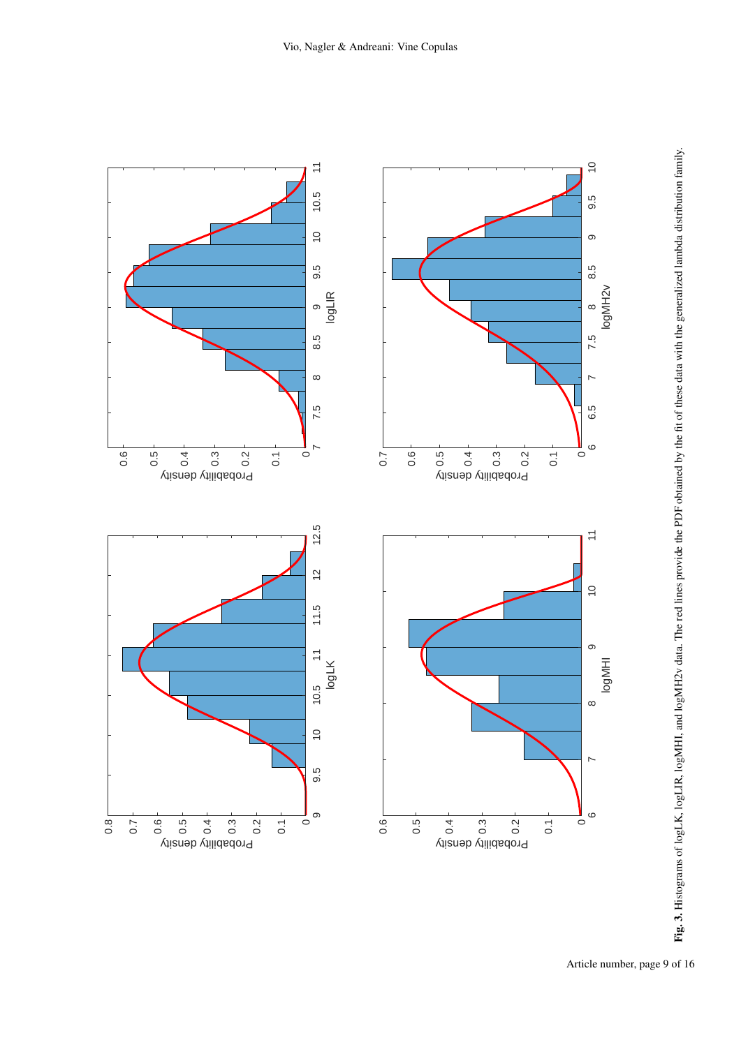<span id="page-8-0"></span>

Article number, page 9 of 16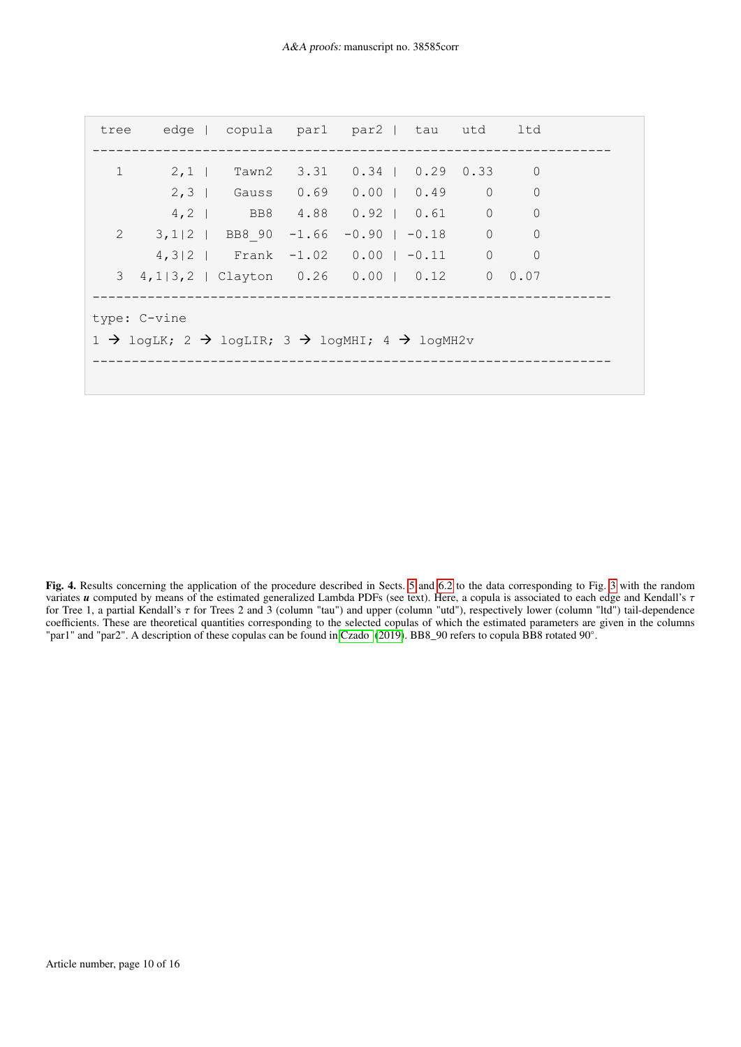|                                                                                                |              |  |  |  | tree edge copula par1 par2   tau utd ltd    |  |  |                |  |
|------------------------------------------------------------------------------------------------|--------------|--|--|--|---------------------------------------------|--|--|----------------|--|
| $\mathbf{1}$                                                                                   |              |  |  |  | 2,1   Tawn2 3.31 0.34   0.29 0.33 0         |  |  |                |  |
|                                                                                                |              |  |  |  | 2,3   Gauss 0.69 0.00   0.49 0              |  |  | $\overline{0}$ |  |
|                                                                                                |              |  |  |  | 4, 2   BB8 4.88 0.92   0.61 0 0             |  |  |                |  |
|                                                                                                |              |  |  |  | 2 3,1 2   BB8 90 -1.66 -0.90   -0.18 0      |  |  | $\overline{0}$ |  |
|                                                                                                |              |  |  |  | $4,3 2$   Frank -1.02 0.00   -0.11 0        |  |  | $\overline{0}$ |  |
|                                                                                                |              |  |  |  | 3 4,1 3,2   Clayton 0.26 0.00   0.12 0 0.07 |  |  |                |  |
|                                                                                                | type: C-vine |  |  |  |                                             |  |  |                |  |
| $1 \rightarrow$ logLK; $2 \rightarrow$ logLIR; $3 \rightarrow$ logMHI; $4 \rightarrow$ logMH2v |              |  |  |  |                                             |  |  |                |  |
|                                                                                                |              |  |  |  |                                             |  |  |                |  |
|                                                                                                |              |  |  |  |                                             |  |  |                |  |

<span id="page-9-0"></span>Fig. 4. Results concerning the application of the procedure described in Sects. [5](#page-2-1) and [6.2](#page-4-7) to the data corresponding to Fig. [3](#page-8-0) with the random variates *<sup>u</sup>* computed by means of the estimated generalized Lambda PDFs (see text). Here, a copula is associated to each edge and Kendall's τ for Tree 1, a partial Kendall's  $\tau$  for Trees 2 and 3 (column "tau") and upper (column "utd"), respectively lower (column "ltd") tail-dependence<br>coefficients. These are theoretical quantities corresponding to the selected "par1" and "par2". A description of these copulas can be found in [Czado](#page-5-12) [\(2019\)](#page-5-12). BB8\_90 refers to copula BB8 rotated 90◦ .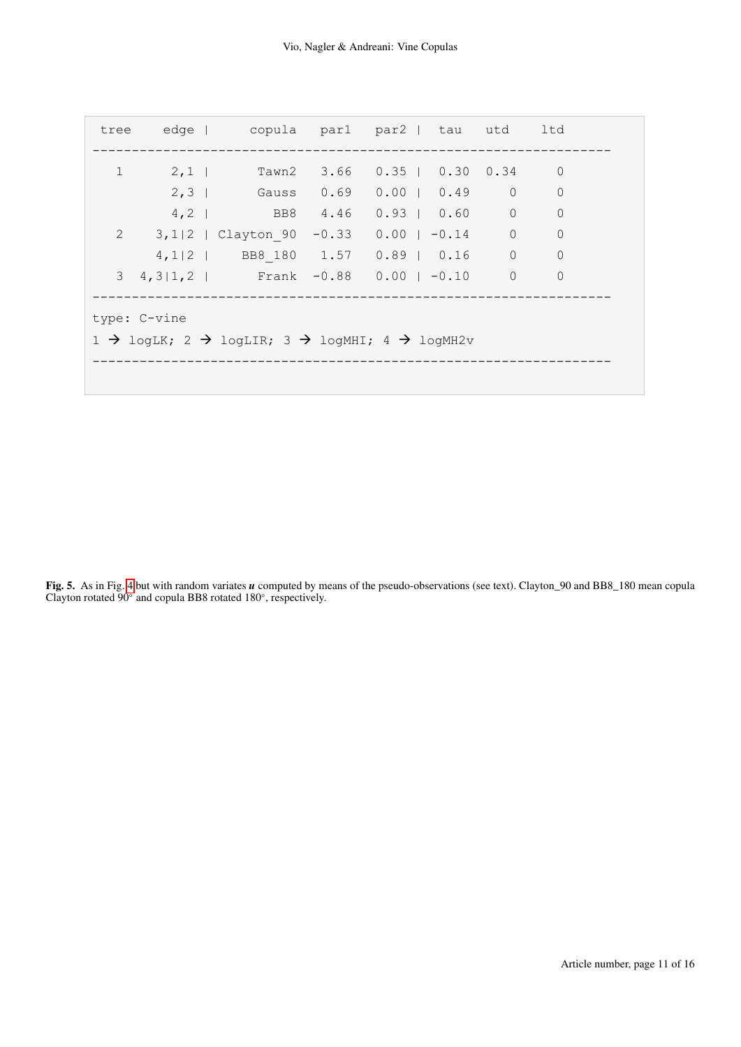|                                                                                                                |  |  | tree edge   copula par1 par2   tau utd ltd     |  |  |  |  |  |                |  |
|----------------------------------------------------------------------------------------------------------------|--|--|------------------------------------------------|--|--|--|--|--|----------------|--|
| $\mathbf{1}$                                                                                                   |  |  | 2,1   Tawn2 3.66 0.35   0.30 0.34              |  |  |  |  |  | $\mathbf 0$    |  |
|                                                                                                                |  |  | 2,3   Gauss 0.69 0.00   0.49 0                 |  |  |  |  |  | $\mathbf 0$    |  |
|                                                                                                                |  |  | 4, 2   BB8 4.46 0.93   0.60 0                  |  |  |  |  |  | $\overline{0}$ |  |
| $\mathbf{2}$                                                                                                   |  |  | $3,1 2$   Clayton 90 -0.33 0.00   -0.14 0      |  |  |  |  |  | $\mathbf 0$    |  |
|                                                                                                                |  |  | 4, 1   2   BB8 180 1.57 0.89   0.16 0          |  |  |  |  |  | $\overline{0}$ |  |
|                                                                                                                |  |  | $3\quad 4, 3 1, 2 $ Frank -0.88 0.00   -0.10 0 |  |  |  |  |  | $\circ$        |  |
| type: C-vine<br>$1 \rightarrow$ logLK; $2 \rightarrow$ logLIR; $3 \rightarrow$ logMHI; $4 \rightarrow$ logMH2v |  |  |                                                |  |  |  |  |  |                |  |

<span id="page-10-0"></span>Fig. 5. As in Fig. [4](#page-9-0) but with random variates *u* computed by means of the pseudo-observations (see text). Clayton\_90 and BB8\_180 mean copula Clayton rotated 90◦ and copula BB8 rotated 180◦ , respectively.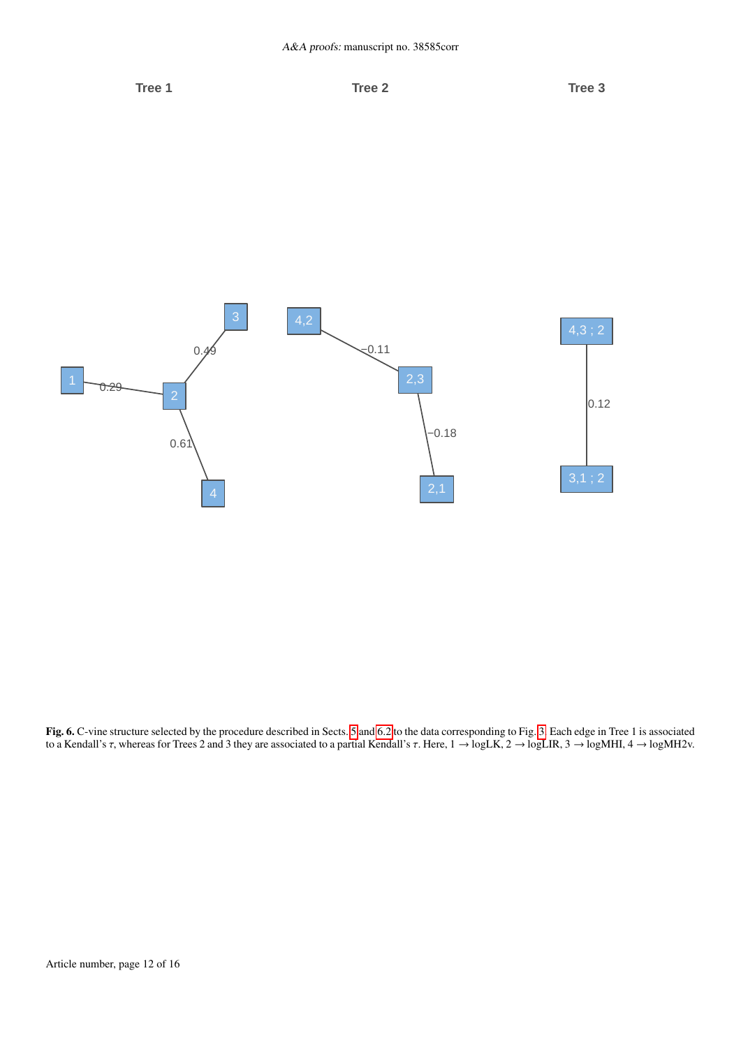

<span id="page-11-0"></span>Fig. 6. C-vine structure selected by the procedure described in Sects. [5](#page-2-1) and [6.2](#page-4-7) to the data corresponding to Fig. [3.](#page-8-0) Each edge in Tree 1 is associated to a Kendall's τ, whereas for Trees 2 and 3 they are associated to a partial Kendall's τ. Here, 1 → logLK, 2 → logLIR, 3 → logMHI, 4 → logMH2v.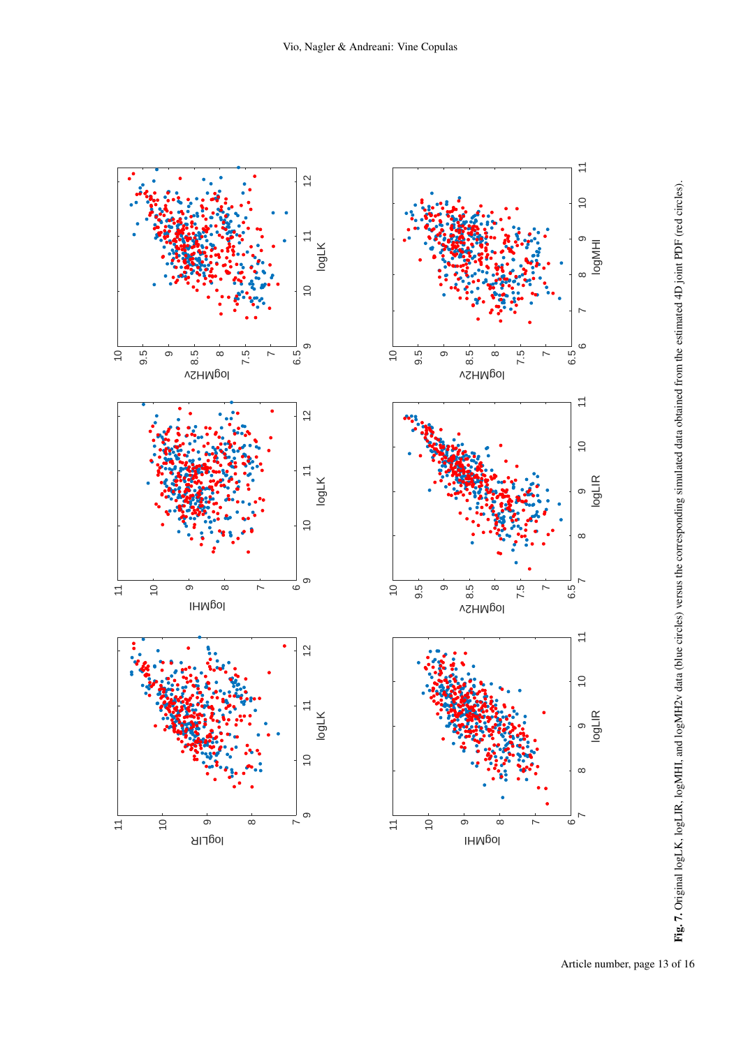<span id="page-12-0"></span>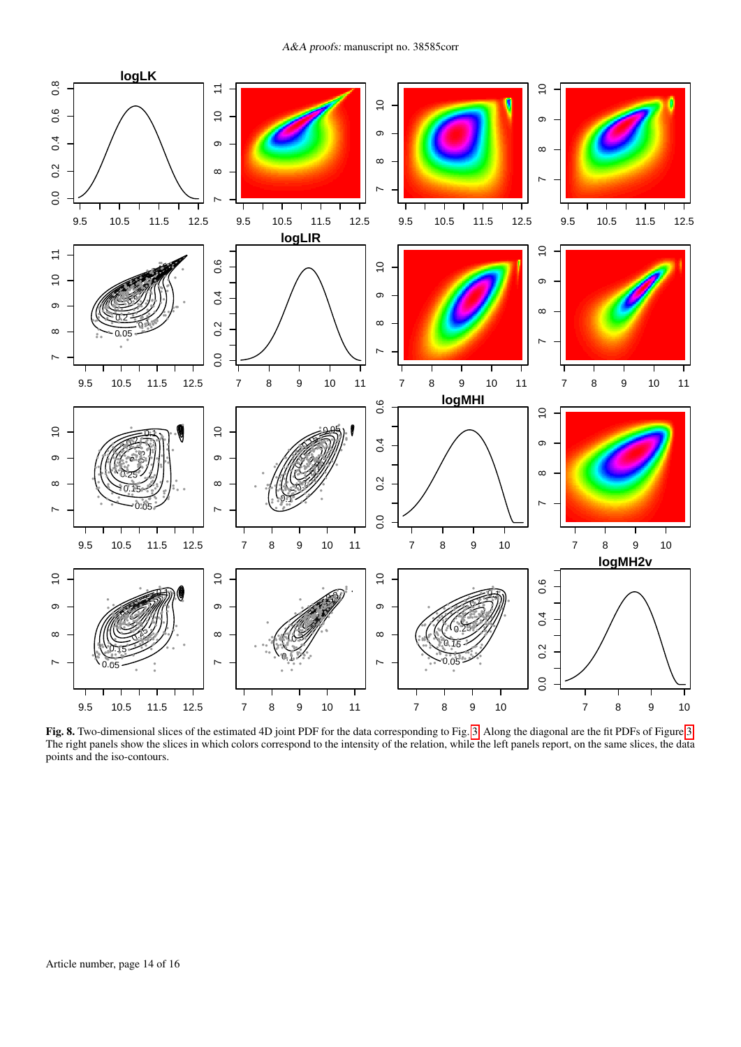

<span id="page-13-0"></span>Fig. 8. Two-dimensional slices of the estimated 4D joint PDF for the data corresponding to Fig. 3. Along the diagonal are the fit PDFs of Figure 3. The right panels show the slices in which colors correspond to the intensity of the relation, while the left panels report, on the same slices, the data points and the iso-contours.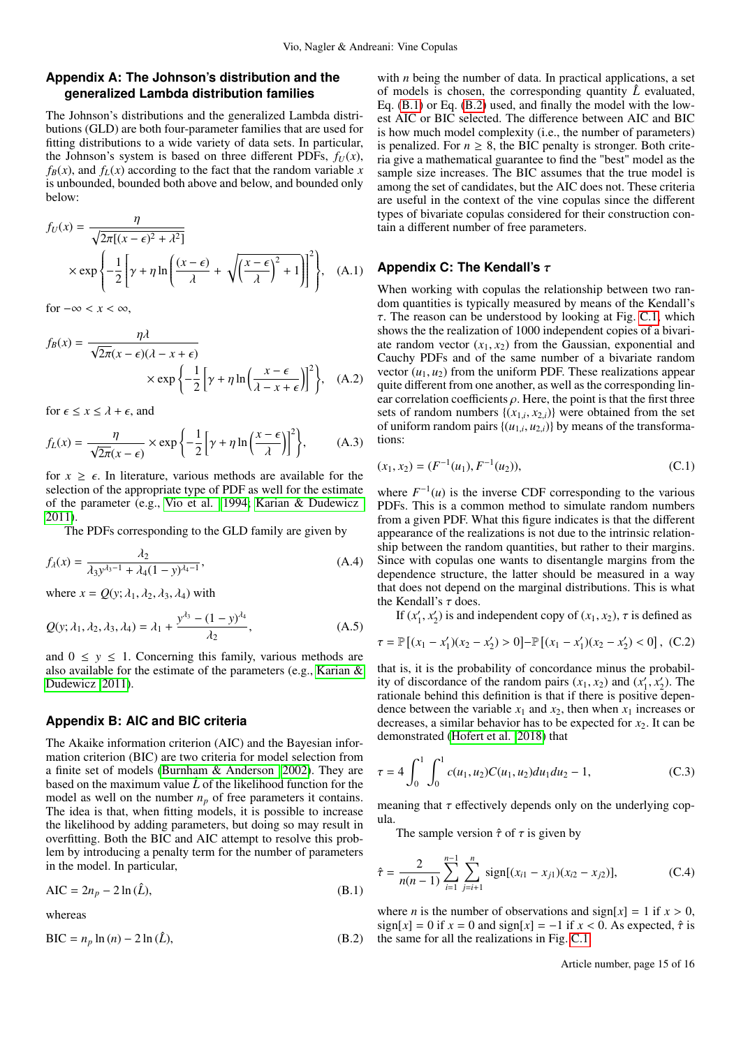# <span id="page-14-0"></span>**Appendix A: The Johnson's distribution and the generalized Lambda distribution families**

The Johnson's distributions and the generalized Lambda distributions (GLD) are both four-parameter families that are used for fitting distributions to a wide variety of data sets. In particular, the Johnson's system is based on three different PDFs,  $f_U(x)$ ,  $f_B(x)$ , and  $f_L(x)$  according to the fact that the random variable *x* is unbounded, bounded both above and below, and bounded only below:

$$
f_U(x) = \frac{\eta}{\sqrt{2\pi[(x-\epsilon)^2 + \lambda^2]}}\n\times \exp\left\{-\frac{1}{2}\left[\gamma + \eta \ln\left(\frac{(x-\epsilon)}{\lambda} + \sqrt{\left(\frac{x-\epsilon}{\lambda}\right)^2 + 1}\right)\right]^2\right\},\n\quad (A.1)
$$

for  $-\infty < x < \infty$ ,

$$
f_B(x) = \frac{\eta A}{\sqrt{2\pi}(x - \epsilon)(\lambda - x + \epsilon)}
$$
  
 
$$
\times \exp\left\{-\frac{1}{2}\left[\gamma + \eta \ln\left(\frac{x - \epsilon}{\lambda - x + \epsilon}\right)\right]^2\right\}, \quad (A.2)
$$

for  $\epsilon \leq x \leq \lambda + \epsilon$ , and

$$
f_L(x) = \frac{\eta}{\sqrt{2\pi}(x-\epsilon)} \times \exp\left\{-\frac{1}{2}\left[\gamma + \eta \ln\left(\frac{x-\epsilon}{\lambda}\right)\right]^2\right\},\tag{A.3}
$$

for  $x \geq \epsilon$ . In literature, various methods are available for the selection of the appropriate type of PDF as well for the estimate of the parameter (e.g., [Vio et al. 1994;](#page-5-13) [Karian & Dudewicz](#page-5-14) [2011\)](#page-5-14).

The PDFs corresponding to the GLD family are given by

$$
f_{\lambda}(x) = \frac{\lambda_2}{\lambda_3 y^{\lambda_3 - 1} + \lambda_4 (1 - y)^{\lambda_4 - 1}},
$$
\n(A.4)

where  $x = Q(y; \lambda_1, \lambda_2, \lambda_3, \lambda_4)$  with

$$
Q(y; \lambda_1, \lambda_2, \lambda_3, \lambda_4) = \lambda_1 + \frac{y^{\lambda_3} - (1 - y)^{\lambda_4}}{\lambda_2},
$$
 (A.5)

and  $0 \leq y \leq 1$ . Concerning this family, various methods are also available for the estimate of the parameters (e.g., [Karian &](#page-5-14) [Dudewicz 2011\)](#page-5-14).

# <span id="page-14-1"></span>**Appendix B: AIC and BIC criteria**

The Akaike information criterion (AIC) and the Bayesian information criterion (BIC) are two criteria for model selection from a finite set of models [\(Burnham & Anderson 2002\)](#page-5-23). They are based on the maximum value  $\hat{L}$  of the likelihood function for the model as well on the number  $n_p$  of free parameters it contains. The idea is that, when fitting models, it is possible to increase the likelihood by adding parameters, but doing so may result in overfitting. Both the BIC and AIC attempt to resolve this problem by introducing a penalty term for the number of parameters in the model. In particular,

<span id="page-14-3"></span>
$$
AIC = 2n_p - 2 \ln(\hat{L}),
$$
 (B.1)

<span id="page-14-4"></span>whereas

$$
BIC = n_p \ln(n) - 2 \ln(\hat{L}),
$$
\n(B.2)

with *n* being the number of data. In practical applications, a set of models is chosen, the corresponding quantity  $\hat{L}$  evaluated, Eq. [\(B.1\)](#page-14-3) or Eq. [\(B.2\)](#page-14-4) used, and finally the model with the lowest AIC or BIC selected. The difference between AIC and BIC is how much model complexity (i.e., the number of parameters) is penalized. For  $n \geq 8$ , the BIC penalty is stronger. Both criteria give a mathematical guarantee to find the "best" model as the sample size increases. The BIC assumes that the true model is among the set of candidates, but the AIC does not. These criteria are useful in the context of the vine copulas since the different types of bivariate copulas considered for their construction contain a different number of free parameters.

# <span id="page-14-2"></span>**Appendix C: The Kendall's** τ

When working with copulas the relationship between two random quantities is typically measured by means of the Kendall's  $\tau$ . The reason can be understood by looking at Fig. [C.1,](#page-15-1) which shows the the realization of 1000 independent copies of a bivariate random vector  $(x_1, x_2)$  from the Gaussian, exponential and Cauchy PDFs and of the same number of a bivariate random vector  $(u_1, u_2)$  from the uniform PDF. These realizations appear quite different from one another, as well as the corresponding linear correlation coefficients  $\rho$ . Here, the point is that the first three sets of random numbers  $\{(x_{1,i}, x_{2,i})\}$  were obtained from the set<br>of uniform random pairs  $\{(u_1, u_2)\}$  by means of the transformaof uniform random pairs  $\{(u_{1,i}, u_{2,i})\}$  by means of the transformations: tions:

$$
(x_1, x_2) = (F^{-1}(u_1), F^{-1}(u_2)),
$$
\n(C.1)

where  $F^{-1}(u)$  is the inverse CDF corresponding to the various PDFs. This is a common method to simulate random numbers from a given PDF. What this figure indicates is that the different appearance of the realizations is not due to the intrinsic relationship between the random quantities, but rather to their margins. Since with copulas one wants to disentangle margins from the dependence structure, the latter should be measured in a way that does not depend on the marginal distributions. This is what the Kendall's  $\tau$  does.

If  $(x'_1, x'_2)$  is and independent copy of  $(x_1, x_2)$ ,  $\tau$  is defined as

$$
\tau = \mathbb{P}\left[ (x_1 - x_1')(x_2 - x_2') > 0 \right] - \mathbb{P}\left[ (x_1 - x_1')(x_2 - x_2') < 0 \right], \quad (C.2)
$$

that is, it is the probability of concordance minus the probability of discordance of the random pairs  $(x_1, x_2)$  and  $(x'_1, x'_2)$ . The rationale behind this definition is that if there is positive depenrationale behind this definition is that if there is positive dependence between the variable  $x_1$  and  $x_2$ , then when  $x_1$  increases or decreases, a similar behavior has to be expected for  $x_2$ . It can be demonstrated [\(Hofert et al. 2018\)](#page-5-3) that

$$
\tau = 4 \int_0^1 \int_0^1 c(u_1, u_2) C(u_1, u_2) du_1 du_2 - 1,
$$
 (C.3)

meaning that  $\tau$  effectively depends only on the underlying copula.

The sample version  $\hat{\tau}$  of  $\tau$  is given by

$$
\hat{\tau} = \frac{2}{n(n-1)} \sum_{i=1}^{n-1} \sum_{j=i+1}^{n} sign[(x_{i1} - x_{j1})(x_{i2} - x_{j2})],
$$
 (C.4)

where *n* is the number of observations and  $\text{sign}[x] = 1$  if  $x > 0$ ,  $sign[x] = 0$  if  $x = 0$  and  $sign[x] = -1$  if  $x < 0$ . As expected,  $\hat{\tau}$  is the same for all the realizations in Fig. [C.1.](#page-15-1)

Article number, page 15 of 16